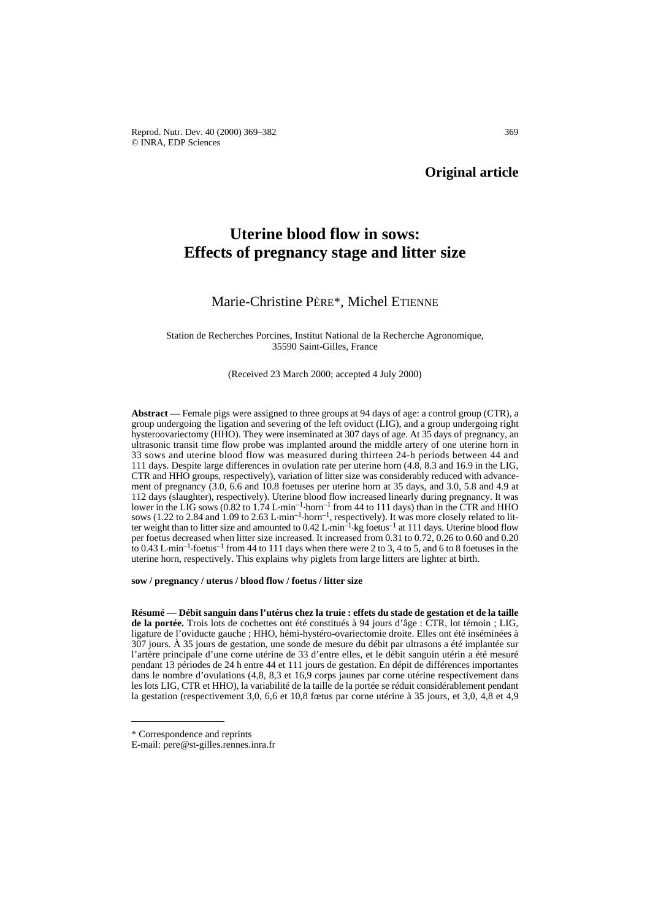Reprod. Nutr. Dev. 40 (2000) 369–382 369 © INRA, EDP Sciences

# **Original article**

# **Uterine blood flow in sows: Effects of pregnancy stage and litter size**

# Marie-Christine PÈRE\*, Michel ETIENNE

Station de Recherches Porcines, Institut National de la Recherche Agronomique, 35590 Saint-Gilles, France

#### (Received 23 March 2000; accepted 4 July 2000)

**Abstract** — Female pigs were assigned to three groups at 94 days of age: a control group (CTR), a group undergoing the ligation and severing of the left oviduct (LIG), and a group undergoing right hysteroovariectomy (HHO). They were inseminated at 307 days of age. At 35 days of pregnancy, an ultrasonic transit time flow probe was implanted around the middle artery of one uterine horn in 33 sows and uterine blood flow was measured during thirteen 24-h periods between 44 and 111 days. Despite large differences in ovulation rate per uterine horn (4.8, 8.3 and 16.9 in the LIG, CTR and HHO groups, respectively), variation of litter size was considerably reduced with advancement of pregnancy (3.0, 6.6 and 10.8 foetuses per uterine horn at 35 days, and 3.0, 5.8 and 4.9 at 112 days (slaughter), respectively). Uterine blood flow increased linearly during pregnancy. It was lower in the LIG sows (0.82 to 1.74 L min<sup>-1</sup> horn<sup>-1</sup> from 44 to 111 days) than in the CTR and HHO sows (1.22 to 2.84 and 1.09 to 2.63 L·min<sup>-1</sup>·horn<sup>-1</sup>, respectively). It was more closely related to litter weight than to litter size and amounted to 0.42 L min<sup>-1</sup> kg foetus<sup>-1</sup> at 111 days. Uterine blood flow per foetus decreased when litter size increased. It increased from 0.31 to 0.72, 0.26 to 0.60 and 0.20 to 0.43 L $\cdot$ min<sup>-1</sup> $\cdot$ foetus<sup>-1</sup> from 44 to 111 days when there were 2 to 3, 4 to 5, and 6 to 8 foetuses in the uterine horn, respectively. This explains why piglets from large litters are lighter at birth.

**sow / pregnancy / uterus / blood flow / foetus / litter size**

**Résumé** — **Débit sanguin dans l'utérus chez la truie : effets du stade de gestation et de la taille de la portée.** Trois lots de cochettes ont été constitués à 94 jours d'âge : CTR, lot témoin ; LIG, ligature de l'oviducte gauche ; HHO, hémi-hystéro-ovariectomie droite. Elles ont été inséminées à 307 jours. À 35 jours de gestation, une sonde de mesure du débit par ultrasons a été implantée sur l'artère principale d'une corne utérine de 33 d'entre elles, et le débit sanguin utérin a été mesuré pendant 13 périodes de 24 h entre 44 et 111 jours de gestation. En dépit de différences importantes dans le nombre d'ovulations (4,8, 8,3 et 16,9 corps jaunes par corne utérine respectivement dans les lots LIG, CTR et HHO), la variabilité de la taille de la portée se réduit considérablement pendant la gestation (respectivement 3,0, 6,6 et 10,8 fœtus par corne utérine à 35 jours, et 3,0, 4,8 et 4,9

<sup>\*</sup> Correspondence and reprints

E-mail: pere@st-gilles.rennes.inra.fr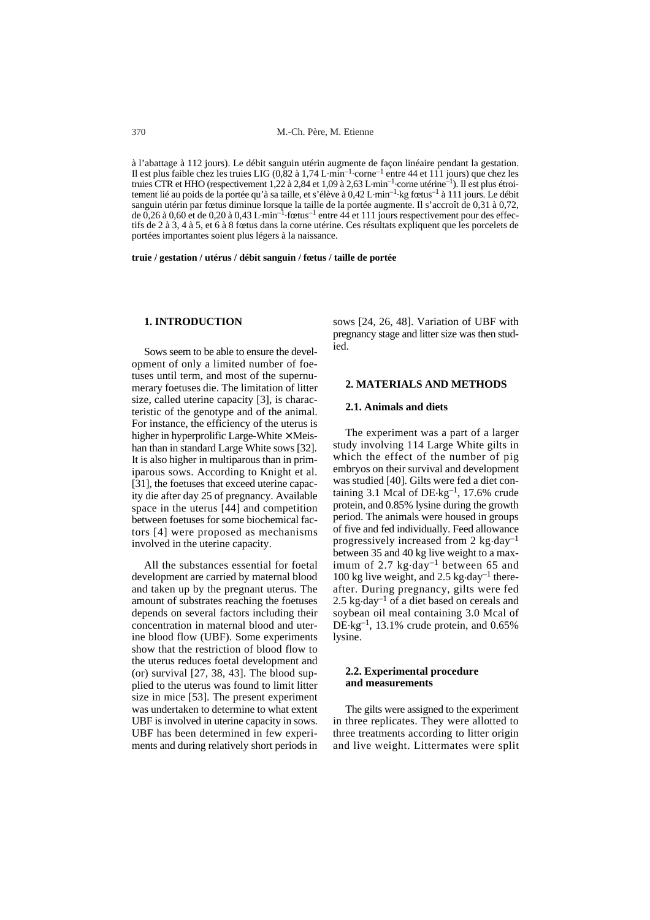à l'abattage à 112 jours). Le débit sanguin utérin augmente de façon linéaire pendant la gestation. Il est plus faible chez les truies LIG (0,82 à 1,74 L.min–1.corne–1 entre 44 et 111 jours) que chez les truies CTR et HHO (respectivement 1,22 à 2,84 et 1,09 à 2,63 L.min–1.corne utérine–1). Il est plus étroitement lié au poids de la portée qu'à sa taille, et s'élève à 0,42 L·min<sup>-1</sup>·kg fœtus<sup>-1</sup> à 111 jours. Le débit sanguin utérin par fœtus diminue lorsque la taille de la portée augmente. Il s'accroît de 0,31 à 0,72,<br>de 0,26 à 0,60 et de 0,20 à 0,43 L·min<sup>–1</sup>·fœtus<sup>–1</sup> entre 44 et 111 jours respectivement pour des effectifs de 2 à 3, 4 à 5, et 6 à 8 fœtus dans la corne utérine. Ces résultats expliquent que les porcelets de portées importantes soient plus légers à la naissance.

**truie / gestation / utérus / débit sanguin / fœtus / taille de portée**

### **1. INTRODUCTION**

Sows seem to be able to ensure the development of only a limited number of foetuses until term, and most of the supernumerary foetuses die. The limitation of litter size, called uterine capacity [3], is characteristic of the genotype and of the animal. For instance, the efficiency of the uterus is higher in hyperprolific Large-White  $\times$  Meishan than in standard Large White sows [32]. It is also higher in multiparous than in primiparous sows. According to Knight et al. [31], the foetuses that exceed uterine capacity die after day 25 of pregnancy. Available space in the uterus [44] and competition between foetuses for some biochemical factors [4] were proposed as mechanisms involved in the uterine capacity.

All the substances essential for foetal development are carried by maternal blood and taken up by the pregnant uterus. The amount of substrates reaching the foetuses depends on several factors including their concentration in maternal blood and uterine blood flow (UBF). Some experiments show that the restriction of blood flow to the uterus reduces foetal development and (or) survival [27, 38, 43]. The blood supplied to the uterus was found to limit litter size in mice [53]. The present experiment was undertaken to determine to what extent UBF is involved in uterine capacity in sows. UBF has been determined in few experiments and during relatively short periods in

sows [24, 26, 48]. Variation of UBF with pregnancy stage and litter size was then studied.

# **2. MATERIALS AND METHODS**

#### **2.1. Animals and diets**

The experiment was a part of a larger study involving 114 Large White gilts in which the effect of the number of pig embryos on their survival and development was studied [40]. Gilts were fed a diet containing 3.1 Mcal of  $DE$ ·kg<sup>-1</sup>, 17.6% crude protein, and 0.85% lysine during the growth period. The animals were housed in groups of five and fed individually. Feed allowance progressively increased from  $2 \text{ kg-day}^{-1}$ between 35 and 40 kg live weight to a maximum of 2.7 kg $\cdot$ day<sup>-1</sup> between 65 and 100 kg live weight, and 2.5 kg $\cdot$ day<sup>-1</sup> thereafter. During pregnancy, gilts were fed 2.5 kg $\cdot$ day<sup>-1</sup> of a diet based on cereals and soybean oil meal containing 3.0 Mcal of  $DE$ ·kg<sup>-1</sup>, 13.1% crude protein, and 0.65% lysine.

#### **2.2. Experimental procedure and measurements**

The gilts were assigned to the experiment in three replicates. They were allotted to three treatments according to litter origin and live weight. Littermates were split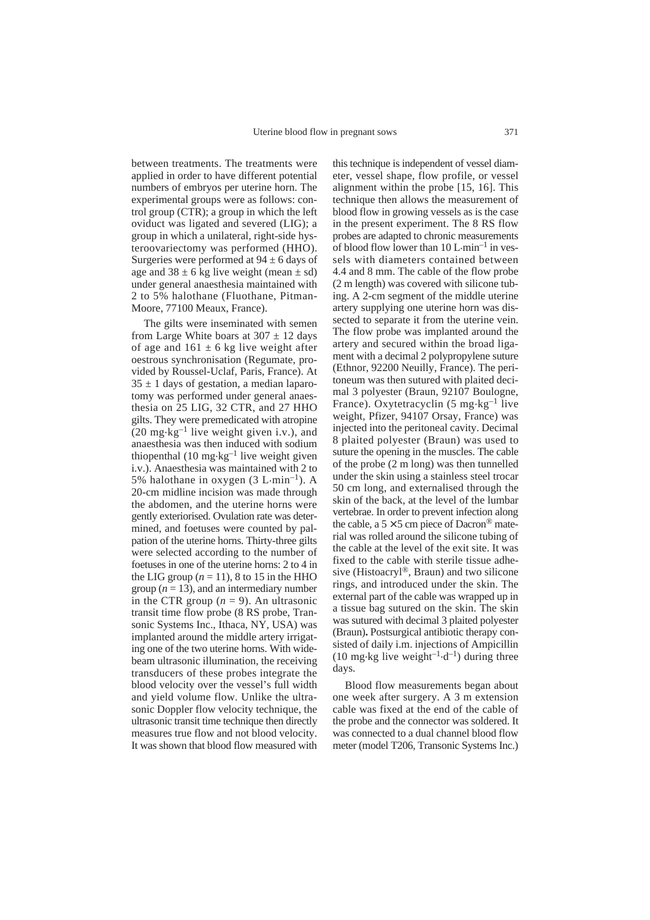between treatments. The treatments were applied in order to have different potential numbers of embryos per uterine horn. The experimental groups were as follows: control group (CTR); a group in which the left oviduct was ligated and severed (LIG); a group in which a unilateral, right-side hysteroovariectomy was performed (HHO). Surgeries were performed at  $94 \pm 6$  days of age and  $38 \pm 6$  kg live weight (mean  $\pm$  sd) under general anaesthesia maintained with 2 to 5% halothane (Fluothane, Pitman-Moore, 77100 Meaux, France).

The gilts were inseminated with semen from Large White boars at  $307 \pm 12$  days of age and  $161 \pm 6$  kg live weight after oestrous synchronisation (Regumate, provided by Roussel-Uclaf, Paris, France). At  $35 \pm 1$  days of gestation, a median laparotomy was performed under general anaesthesia on 25 LIG, 32 CTR, and 27 HHO gilts. They were premedicated with atropine (20 mg $\text{kg}^{-1}$  live weight given i.v.), and anaesthesia was then induced with sodium thiopenthal  $(10 \text{ mg} \cdot \text{kg}^{-1})$  live weight given i.v.). Anaesthesia was maintained with 2 to 5% halothane in oxygen  $(3 L·min^{-1})$ . A 20-cm midline incision was made through the abdomen, and the uterine horns were gently exteriorised. Ovulation rate was determined, and foetuses were counted by palpation of the uterine horns. Thirty-three gilts were selected according to the number of foetuses in one of the uterine horns: 2 to 4 in the LIG group  $(n = 11)$ , 8 to 15 in the HHO group  $(n = 13)$ , and an intermediary number in the CTR group  $(n = 9)$ . An ultrasonic transit time flow probe (8 RS probe, Transonic Systems Inc., Ithaca, NY, USA) was implanted around the middle artery irrigating one of the two uterine horns. With widebeam ultrasonic illumination, the receiving transducers of these probes integrate the blood velocity over the vessel's full width and yield volume flow. Unlike the ultrasonic Doppler flow velocity technique, the ultrasonic transit time technique then directly measures true flow and not blood velocity. It was shown that blood flow measured with this technique is independent of vessel diameter, vessel shape, flow profile, or vessel alignment within the probe [15, 16]. This technique then allows the measurement of blood flow in growing vessels as is the case in the present experiment. The 8 RS flow probes are adapted to chronic measurements of blood flow lower than  $10 \text{ L} \cdot \text{min}^{-1}$  in vessels with diameters contained between 4.4 and 8 mm. The cable of the flow probe (2 m length) was covered with silicone tubing. A 2-cm segment of the middle uterine artery supplying one uterine horn was dissected to separate it from the uterine vein. The flow probe was implanted around the artery and secured within the broad ligament with a decimal 2 polypropylene suture (Ethnor, 92200 Neuilly, France). The peritoneum was then sutured with plaited decimal 3 polyester (Braun, 92107 Boulogne, France). Oxytetracyclin  $(5 \text{ mg} \cdot \text{kg}^{-1})$  live weight, Pfizer, 94107 Orsay, France) was injected into the peritoneal cavity. Decimal 8 plaited polyester (Braun) was used to suture the opening in the muscles. The cable of the probe (2 m long) was then tunnelled under the skin using a stainless steel trocar 50 cm long, and externalised through the skin of the back, at the level of the lumbar vertebrae. In order to prevent infection along the cable, a  $5 \times 5$  cm piece of Dacron<sup>®</sup> material was rolled around the silicone tubing of the cable at the level of the exit site. It was fixed to the cable with sterile tissue adhesive (Histoacryl®, Braun) and two silicone rings, and introduced under the skin. The external part of the cable was wrapped up in a tissue bag sutured on the skin. The skin was sutured with decimal 3 plaited polyester (Braun)**.** Postsurgical antibiotic therapy consisted of daily i.m. injections of Ampicillin (10 mg·kg live weight<sup>-1</sup> $\cdot$ d<sup>-1</sup>) during three days.

Blood flow measurements began about one week after surgery. A 3 m extension cable was fixed at the end of the cable of the probe and the connector was soldered. It was connected to a dual channel blood flow meter (model T206, Transonic Systems Inc.)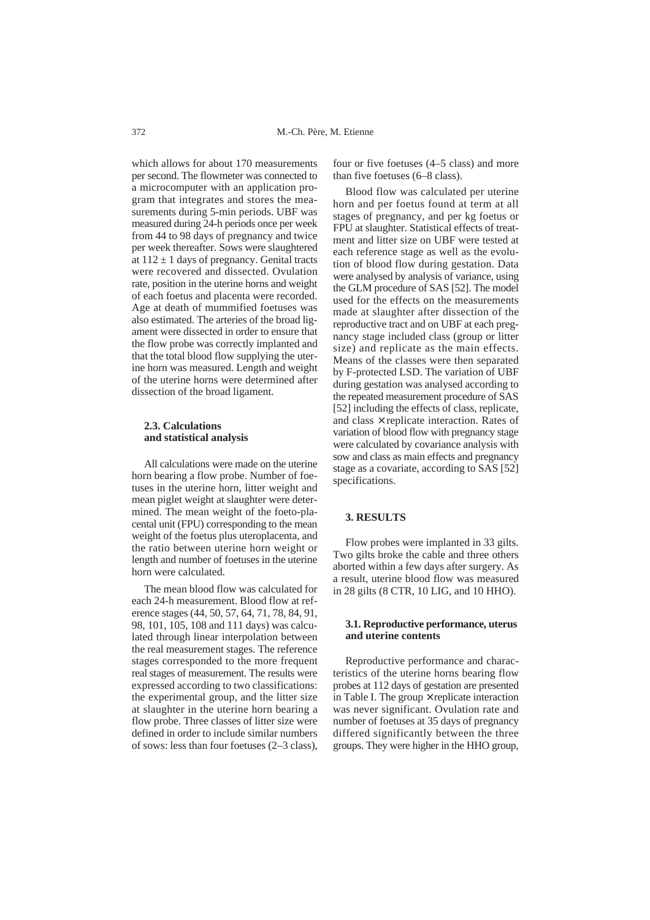which allows for about 170 measurements per second. The flowmeter was connected to a microcomputer with an application program that integrates and stores the measurements during 5-min periods. UBF was measured during 24-h periods once per week from 44 to 98 days of pregnancy and twice per week thereafter. Sows were slaughtered at  $112 \pm 1$  days of pregnancy. Genital tracts were recovered and dissected. Ovulation rate, position in the uterine horns and weight of each foetus and placenta were recorded. Age at death of mummified foetuses was also estimated. The arteries of the broad ligament were dissected in order to ensure that the flow probe was correctly implanted and that the total blood flow supplying the uterine horn was measured. Length and weight of the uterine horns were determined after dissection of the broad ligament.

# **2.3. Calculations and statistical analysis**

All calculations were made on the uterine horn bearing a flow probe. Number of foetuses in the uterine horn, litter weight and mean piglet weight at slaughter were determined. The mean weight of the foeto-placental unit (FPU) corresponding to the mean weight of the foetus plus uteroplacenta, and the ratio between uterine horn weight or length and number of foetuses in the uterine horn were calculated.

The mean blood flow was calculated for each 24-h measurement. Blood flow at reference stages (44, 50, 57, 64, 71, 78, 84, 91, 98, 101, 105, 108 and 111 days) was calculated through linear interpolation between the real measurement stages. The reference stages corresponded to the more frequent real stages of measurement. The results were expressed according to two classifications: the experimental group, and the litter size at slaughter in the uterine horn bearing a flow probe. Three classes of litter size were defined in order to include similar numbers of sows: less than four foetuses (2–3 class),

four or five foetuses (4–5 class) and more than five foetuses (6–8 class).

Blood flow was calculated per uterine horn and per foetus found at term at all stages of pregnancy, and per kg foetus or FPU at slaughter. Statistical effects of treatment and litter size on UBF were tested at each reference stage as well as the evolution of blood flow during gestation. Data were analysed by analysis of variance, using the GLM procedure of SAS [52]. The model used for the effects on the measurements made at slaughter after dissection of the reproductive tract and on UBF at each pregnancy stage included class (group or litter size) and replicate as the main effects. Means of the classes were then separated by F-protected LSD. The variation of UBF during gestation was analysed according to the repeated measurement procedure of SAS [52] including the effects of class, replicate, and class  $\times$  replicate interaction. Rates of variation of blood flow with pregnancy stage were calculated by covariance analysis with sow and class as main effects and pregnancy stage as a covariate, according to SAS [52] specifications.

#### **3. RESULTS**

Flow probes were implanted in 33 gilts. Two gilts broke the cable and three others aborted within a few days after surgery. As a result, uterine blood flow was measured in 28 gilts (8 CTR, 10 LIG, and 10 HHO).

# **3.1. Reproductive performance, uterus and uterine contents**

Reproductive performance and characteristics of the uterine horns bearing flow probes at 112 days of gestation are presented in Table I. The group  $\times$  replicate interaction was never significant. Ovulation rate and number of foetuses at 35 days of pregnancy differed significantly between the three groups. They were higher in the HHO group,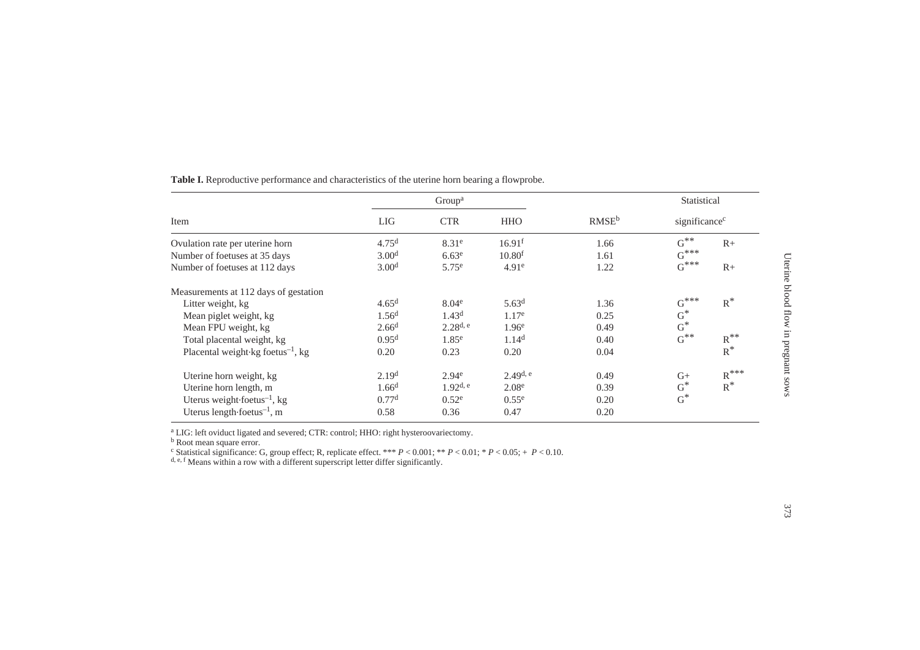| Item                                          | Group <sup>a</sup> |                   |                    |                   | Statistical               |                    |
|-----------------------------------------------|--------------------|-------------------|--------------------|-------------------|---------------------------|--------------------|
|                                               | <b>LIG</b>         | <b>CTR</b>        | <b>HHO</b>         | RMSE <sup>b</sup> | significance <sup>c</sup> |                    |
| Ovulation rate per uterine horn               | 4.75 <sup>d</sup>  | 8.31 <sup>e</sup> | 16.91 <sup>f</sup> | 1.66              | $G^{\ast\ast}$            | $R+$               |
| Number of foetuses at 35 days                 | 3.00 <sup>d</sup>  | 6.63 <sup>e</sup> | 10.80 <sup>f</sup> | 1.61              | $G^{***}$                 |                    |
| Number of foetuses at 112 days                | 3.00 <sup>d</sup>  | 5.75 <sup>e</sup> | 4.91 <sup>e</sup>  | 1.22              | $G^{***}$                 | $R+$               |
| Measurements at 112 days of gestation         |                    |                   |                    |                   |                           |                    |
| Litter weight, kg                             | 4.65 <sup>d</sup>  | 8.04 <sup>e</sup> | 5.63 <sup>d</sup>  | 1.36              | $G^{***}$                 | $R^*$              |
| Mean piglet weight, kg                        | 1.56 <sup>d</sup>  | 1.43 <sup>d</sup> | $1.17^e$           | 0.25              | $G^{\ast}$                |                    |
| Mean FPU weight, kg                           | 2.66 <sup>d</sup>  | $2.28^{d, e}$     | 1.96 <sup>e</sup>  | 0.49              | $G^*$                     |                    |
| Total placental weight, kg                    | 0.95 <sup>d</sup>  | 1.85 <sup>e</sup> | 1.14 <sup>d</sup>  | 0.40              | $G^{**}$                  | $R^{**}$           |
| Placental weight kg foetus <sup>-1</sup> , kg | 0.20               | 0.23              | 0.20               | 0.04              |                           | $\mbox{R}^*$       |
| Uterine horn weight, kg                       | 2.19 <sup>d</sup>  | 2.94 <sup>e</sup> | $2.49^{d, e}$      | 0.49              | $G+$                      | $R$ <sup>***</sup> |
| Uterine horn length, m                        | 1.66 <sup>d</sup>  | $1.92^{d, e}$     | 2.08 <sup>e</sup>  | 0.39              | $G^*$                     | $R^*$              |
| Uterus weight foetus $^{-1}$ , kg             | 0.77 <sup>d</sup>  | 0.52 <sup>e</sup> | 0.55 <sup>e</sup>  | 0.20              | $G^*$                     |                    |
| Uterus length foetus $^{-1}$ , m              | 0.58               | 0.36              | 0.47               | 0.20              |                           |                    |

**Table I.** Reproductive performance and characteristics of the uterine horn bearing a flowprobe.

<sup>a</sup> LIG: left oviduct ligated and severed; CTR: control; HHO: right hysteroovariectomy.<br><sup>b</sup> Root mean square error.<br><sup>c</sup> Statistical significance: G, group effect; R, replicate effect. \*\*\*  $P < 0.001$ ; \*\*  $P < 0.01$ ; \*  $P < 0$ 

Uterine blood flow in pregnant sows

Uterine blood flow in pregnant sows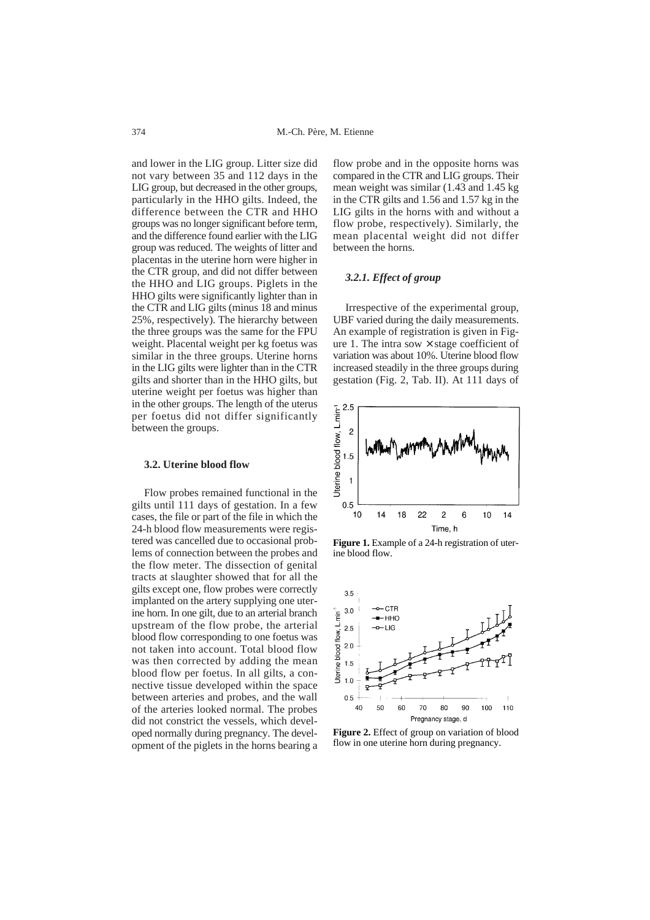and lower in the LIG group. Litter size did not vary between 35 and 112 days in the LIG group, but decreased in the other groups, particularly in the HHO gilts. Indeed, the difference between the CTR and HHO groups was no longer significant before term, and the difference found earlier with the LIG group was reduced. The weights of litter and placentas in the uterine horn were higher in the CTR group, and did not differ between the HHO and LIG groups. Piglets in the HHO gilts were significantly lighter than in the CTR and LIG gilts (minus 18 and minus 25%, respectively). The hierarchy between the three groups was the same for the FPU weight. Placental weight per kg foetus was similar in the three groups. Uterine horns in the LIG gilts were lighter than in the CTR gilts and shorter than in the HHO gilts, but uterine weight per foetus was higher than in the other groups. The length of the uterus per foetus did not differ significantly between the groups.

#### **3.2. Uterine blood flow**

Flow probes remained functional in the gilts until 111 days of gestation. In a few cases, the file or part of the file in which the 24-h blood flow measurements were registered was cancelled due to occasional problems of connection between the probes and the flow meter. The dissection of genital tracts at slaughter showed that for all the gilts except one, flow probes were correctly implanted on the artery supplying one uterine horn. In one gilt, due to an arterial branch upstream of the flow probe, the arterial blood flow corresponding to one foetus was not taken into account. Total blood flow was then corrected by adding the mean blood flow per foetus. In all gilts, a connective tissue developed within the space between arteries and probes, and the wall of the arteries looked normal. The probes did not constrict the vessels, which developed normally during pregnancy. The development of the piglets in the horns bearing a

flow probe and in the opposite horns was compared in the CTR and LIG groups. Their mean weight was similar (1.43 and 1.45 kg in the CTR gilts and 1.56 and 1.57 kg in the LIG gilts in the horns with and without a flow probe, respectively). Similarly, the mean placental weight did not differ between the horns.

# *3.2.1. Effect of group*

Irrespective of the experimental group, UBF varied during the daily measurements. An example of registration is given in Figure 1. The intra sow  $\times$  stage coefficient of variation was about 10%. Uterine blood flow increased steadily in the three groups during gestation (Fig. 2, Tab. II). At 111 days of



Figure 1. Example of a 24-h registration of uterine blood flow.



**Figure 2.** Effect of group on variation of blood flow in one uterine horn during pregnancy.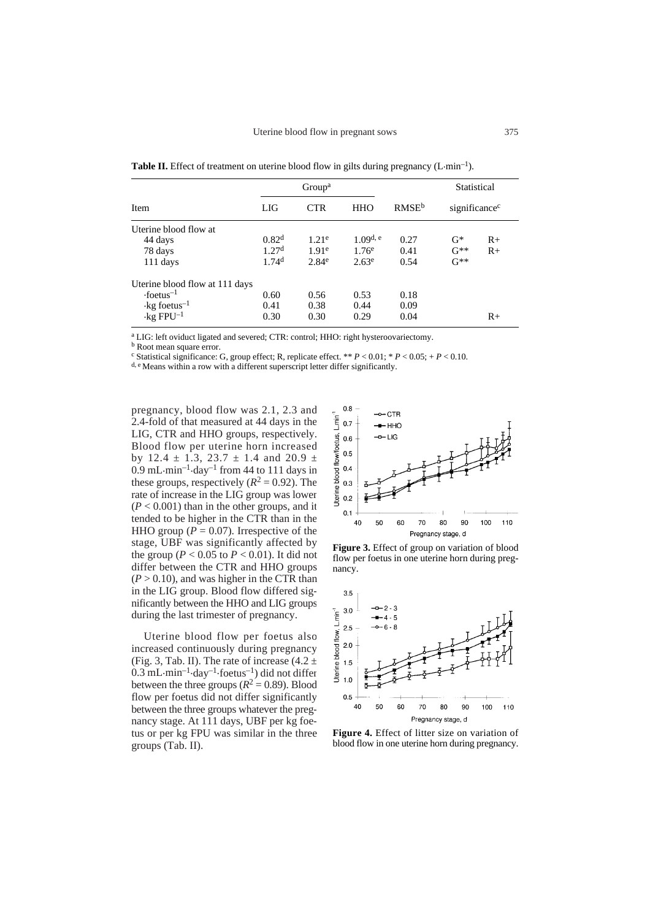**Table II.** Effect of treatment on uterine blood flow in gilts during pregnancy  $(L \cdot \text{min}^{-1})$ .

|                                 | Group <sup>a</sup> |                   |             |                   | Statistical               |      |
|---------------------------------|--------------------|-------------------|-------------|-------------------|---------------------------|------|
| Item                            | LIG                | <b>CTR</b>        | <b>HHO</b>  | RMSE <sup>b</sup> | significance <sup>c</sup> |      |
| Uterine blood flow at           |                    |                   |             |                   |                           |      |
| 44 days                         | 0.82 <sup>d</sup>  | 1.21 <sup>e</sup> | $1.09$ d, e | 0.27              | $G^*$                     | $R+$ |
| 78 days                         | 1.27 <sup>d</sup>  | 1.91 <sup>e</sup> | $1.76^e$    | 0.41              | $G^{**}$                  | $R+$ |
| 111 days                        | 1.74 <sup>d</sup>  | 2.84 <sup>e</sup> | $2.63^e$    | 0.54              | $G^{**}$                  |      |
| Uterine blood flow at 111 days  |                    |                   |             |                   |                           |      |
| $\cdot$ foetus <sup>-1</sup>    | 0.60               | 0.56              | 0.53        | 0.18              |                           |      |
| $\cdot$ kg foetus <sup>-1</sup> | 0.41               | 0.38              | 0.44        | 0.09              |                           |      |
| $\cdot$ kg FPU <sup>-1</sup>    | 0.30               | 0.30              | 0.29        | 0.04              |                           | $R+$ |

<sup>a</sup> LIG: left oviduct ligated and severed; CTR: control; HHO: right hysteroovariectomy.

**b** Root mean square error.

<sup>c</sup> Statistical significance: G, group effect; R, replicate effect. \*\*  $P < 0.01$ ; \*  $P < 0.05$ ; +  $P < 0.10$ .

d, e Means within a row with a different superscript letter differ significantly.

pregnancy, blood flow was 2.1, 2.3 and 2.4-fold of that measured at 44 days in the LIG, CTR and HHO groups, respectively. Blood flow per uterine horn increased by 12.4  $\pm$  1.3, 23.7  $\pm$  1.4 and 20.9  $\pm$  $0.9$  mL $\cdot$ min<sup>-1</sup> $\cdot$ day<sup>-1</sup> from 44 to 111 days in these groups, respectively  $(R^2 = 0.92)$ . The rate of increase in the LIG group was lower  $(P < 0.001)$  than in the other groups, and it tended to be higher in the CTR than in the HHO group ( $P = 0.07$ ). Irrespective of the stage, UBF was significantly affected by the group ( $P < 0.05$  to  $P < 0.01$ ). It did not differ between the CTR and HHO groups  $(P > 0.10)$ , and was higher in the CTR than in the LIG group. Blood flow differed significantly between the HHO and LIG groups during the last trimester of pregnancy.

Uterine blood flow per foetus also increased continuously during pregnancy (Fig. 3, Tab. II). The rate of increase  $(4.2 \pm 1)$  $0.3$  mL·min<sup>-1</sup>·day<sup>-1</sup>·foetus<sup>-1</sup>) did not differ between the three groups  $(R^2 = 0.89)$ . Blood flow per foetus did not differ significantly between the three groups whatever the pregnancy stage. At 111 days, UBF per kg foetus or per kg FPU was similar in the three groups (Tab. II).



**Figure 3.** Effect of group on variation of blood flow per foetus in one uterine horn during pregnancy.



**Figure 4.** Effect of litter size on variation of blood flow in one uterine horn during pregnancy.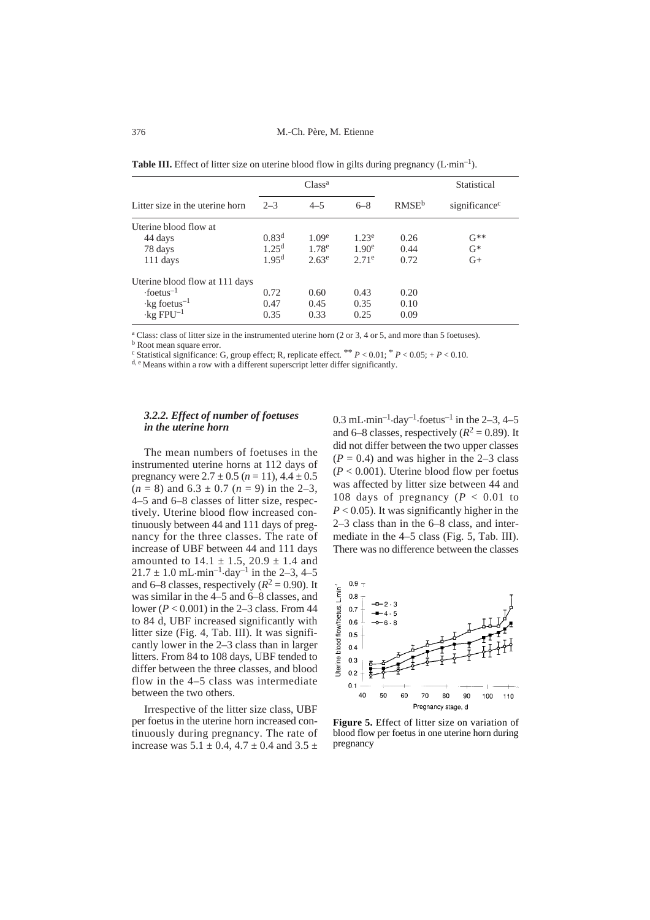M.-Ch. Père, M. Etienne

**Table III.** Effect of litter size on uterine blood flow in gilts during pregnancy  $(L \cdot \text{min}^{-1})$ .

|                                 | Class <sup>a</sup> |                   |                   |                   | Statistical               |  |
|---------------------------------|--------------------|-------------------|-------------------|-------------------|---------------------------|--|
| Litter size in the uterine horn | $2 - 3$            | $4 - 5$           | $6 - 8$           | RMSE <sup>b</sup> | significance <sup>c</sup> |  |
| Uterine blood flow at           |                    |                   |                   |                   |                           |  |
| 44 days                         | 0.83 <sup>d</sup>  | 1.09 <sup>e</sup> | $1.23^e$          | 0.26              | $G^{**}$                  |  |
| 78 days                         | 1.25 <sup>d</sup>  | 1.78 <sup>e</sup> | 1.90 <sup>e</sup> | 0.44              | $G^*$                     |  |
| $111$ days                      | 1.95 <sup>d</sup>  | $2.63^e$          | $2.71^e$          | 0.72              | $G+$                      |  |
| Uterine blood flow at 111 days  |                    |                   |                   |                   |                           |  |
| $\cdot$ foetus <sup>-1</sup>    | 0.72               | 0.60              | 0.43              | 0.20              |                           |  |
| $\cdot$ kg foetus <sup>-1</sup> | 0.47               | 0.45              | 0.35              | 0.10              |                           |  |
| $\cdot$ kg FPU <sup>-1</sup>    | 0.35               | 0.33              | 0.25              | 0.09              |                           |  |

<sup>a</sup> Class: class of litter size in the instrumented uterine horn (2 or 3, 4 or 5, and more than 5 foetuses). **b** Root mean square error.

<sup>c</sup> Statistical significance: G, group effect; R, replicate effect. \*\*  $P < 0.01$ ; \*  $P < 0.05$ ; +  $P < 0.10$ .

d, e Means within a row with a different superscript letter differ significantly.

# *3.2.2. Effect of number of foetuses in the uterine horn*

The mean numbers of foetuses in the instrumented uterine horns at 112 days of pregnancy were  $2.7 \pm 0.5$  ( $n = 11$ ),  $4.4 \pm 0.5$  $(n = 8)$  and  $6.3 \pm 0.7$   $(n = 9)$  in the 2-3, 4–5 and 6–8 classes of litter size, respectively. Uterine blood flow increased continuously between 44 and 111 days of pregnancy for the three classes. The rate of increase of UBF between 44 and 111 days amounted to  $14.1 \pm 1.5$ ,  $20.9 \pm 1.4$  and  $21.7 \pm 1.0 \text{ mL-min}^{-1}$  day<sup>-1</sup> in the 2-3, 4-5 and 6–8 classes, respectively  $(R^2 = 0.90)$ . It was similar in the 4–5 and 6–8 classes, and lower (*P* < 0.001) in the 2–3 class. From 44 to 84 d, UBF increased significantly with litter size (Fig. 4, Tab. III). It was significantly lower in the 2–3 class than in larger litters. From 84 to 108 days, UBF tended to differ between the three classes, and blood flow in the 4–5 class was intermediate between the two others.

Irrespective of the litter size class, UBF per foetus in the uterine horn increased continuously during pregnancy. The rate of increase was  $5.1 \pm 0.4$ ,  $4.7 \pm 0.4$  and  $3.5 \pm$  0.3 mL $\cdot$ min<sup>-1</sup> $\cdot$ day<sup>-1</sup> $\cdot$ foetus<sup>-1</sup> in the 2-3, 4-5 and 6–8 classes, respectively  $(R^2 = 0.89)$ . It did not differ between the two upper classes  $(P = 0.4)$  and was higher in the 2–3 class  $(P < 0.001)$ . Uterine blood flow per foetus was affected by litter size between 44 and 108 days of pregnancy  $(P < 0.01$  to  $P < 0.05$ ). It was significantly higher in the 2–3 class than in the 6–8 class, and intermediate in the 4–5 class (Fig. 5, Tab. III). There was no difference between the classes



**Figure 5.** Effect of litter size on variation of blood flow per foetus in one uterine horn during pregnancy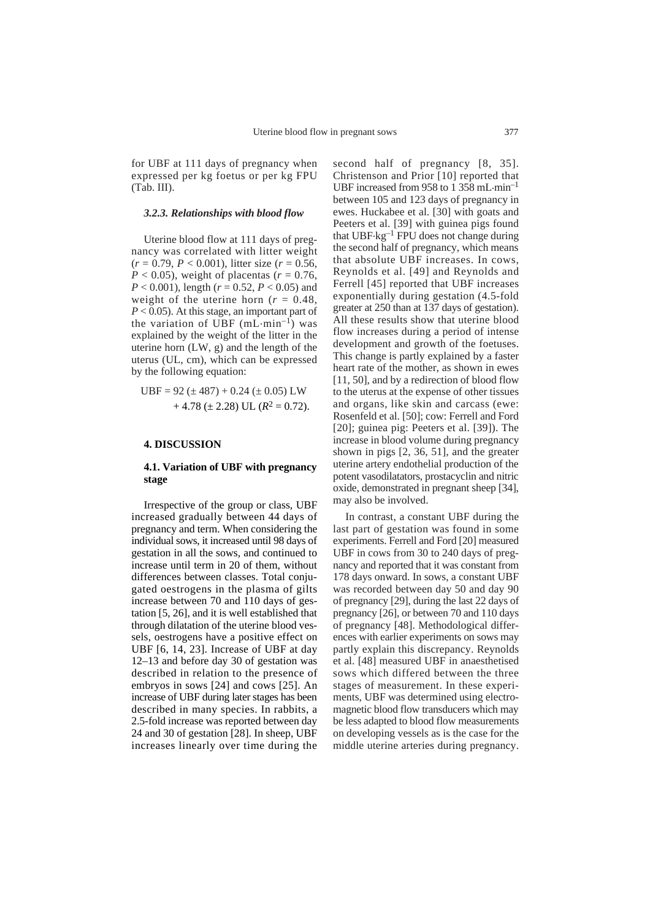for UBF at 111 days of pregnancy when expressed per kg foetus or per kg FPU (Tab. III).

#### *3.2.3. Relationships with blood flow*

Uterine blood flow at 111 days of pregnancy was correlated with litter weight  $(r = 0.79, P < 0.001)$ , litter size  $(r = 0.56,$  $P < 0.05$ ), weight of placentas ( $r = 0.76$ , *P* < 0.001), length (*r* = 0.52, *P* < 0.05) and weight of the uterine horn ( $r = 0.48$ , *P* < 0.05). At this stage, an important part of the variation of UBF  $(mL \cdot min^{-1})$  was explained by the weight of the litter in the uterine horn (LW, g) and the length of the uterus (UL, cm), which can be expressed by the following equation:

$$
UBF = 92 \ (\pm 487) + 0.24 \ (\pm 0.05) \ LW + 4.78 \ (\pm 2.28) \ UL \ (R^2 = 0.72).
$$

#### **4. DISCUSSION**

# **4.1. Variation of UBF with pregnancy stage**

Irrespective of the group or class, UBF increased gradually between 44 days of pregnancy and term. When considering the individual sows, it increased until 98 days of gestation in all the sows, and continued to increase until term in 20 of them, without differences between classes. Total conjugated oestrogens in the plasma of gilts increase between 70 and 110 days of gestation [5, 26], and it is well established that through dilatation of the uterine blood vessels, oestrogens have a positive effect on UBF [6, 14, 23]. Increase of UBF at day 12–13 and before day 30 of gestation was described in relation to the presence of embryos in sows [24] and cows [25]. An increase of UBF during later stages has been described in many species. In rabbits, a 2.5-fold increase was reported between day 24 and 30 of gestation [28]. In sheep, UBF increases linearly over time during the

second half of pregnancy [8, 35]. Christenson and Prior [10] reported that UBF increased from 958 to  $1,358$  mL $\cdot$ min<sup>-1</sup> between 105 and 123 days of pregnancy in ewes. Huckabee et al. [30] with goats and Peeters et al. [39] with guinea pigs found that  $UBF \cdot kg^{-1}$  FPU does not change during the second half of pregnancy, which means that absolute UBF increases. In cows, Reynolds et al. [49] and Reynolds and Ferrell [45] reported that UBF increases exponentially during gestation (4.5-fold greater at 250 than at 137 days of gestation). All these results show that uterine blood flow increases during a period of intense development and growth of the foetuses. This change is partly explained by a faster heart rate of the mother, as shown in ewes [11, 50], and by a redirection of blood flow to the uterus at the expense of other tissues and organs, like skin and carcass (ewe: Rosenfeld et al. [50]; cow: Ferrell and Ford [20]; guinea pig: Peeters et al. [39]). The increase in blood volume during pregnancy shown in pigs [2, 36, 51], and the greater uterine artery endothelial production of the potent vasodilatators, prostacyclin and nitric oxide, demonstrated in pregnant sheep [34], may also be involved.

In contrast, a constant UBF during the last part of gestation was found in some experiments. Ferrell and Ford [20] measured UBF in cows from 30 to 240 days of pregnancy and reported that it was constant from 178 days onward. In sows, a constant UBF was recorded between day 50 and day 90 of pregnancy [29], during the last 22 days of pregnancy [26], or between 70 and 110 days of pregnancy [48]. Methodological differences with earlier experiments on sows may partly explain this discrepancy. Reynolds et al. [48] measured UBF in anaesthetised sows which differed between the three stages of measurement. In these experiments, UBF was determined using electromagnetic blood flow transducers which may be less adapted to blood flow measurements on developing vessels as is the case for the middle uterine arteries during pregnancy.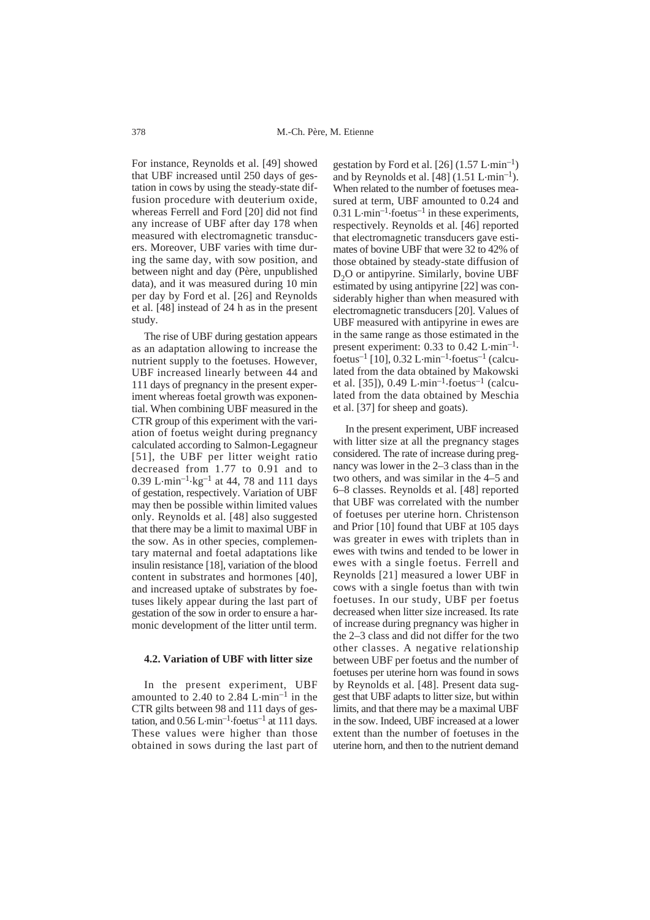For instance, Reynolds et al. [49] showed that UBF increased until 250 days of gestation in cows by using the steady-state diffusion procedure with deuterium oxide, whereas Ferrell and Ford [20] did not find any increase of UBF after day 178 when measured with electromagnetic transducers. Moreover, UBF varies with time during the same day, with sow position, and between night and day (Père, unpublished data), and it was measured during 10 min per day by Ford et al. [26] and Reynolds et al. [48] instead of 24 h as in the present study.

The rise of UBF during gestation appears as an adaptation allowing to increase the nutrient supply to the foetuses. However, UBF increased linearly between 44 and 111 days of pregnancy in the present experiment whereas foetal growth was exponential. When combining UBF measured in the CTR group of this experiment with the variation of foetus weight during pregnancy calculated according to Salmon-Legagneur [51], the UBF per litter weight ratio decreased from 1.77 to 0.91 and to 0.39 L $\cdot$ min<sup>-1</sup> $\cdot$ kg<sup>-1</sup> at 44, 78 and 111 days of gestation, respectively. Variation of UBF may then be possible within limited values only. Reynolds et al. [48] also suggested that there may be a limit to maximal UBF in the sow. As in other species, complementary maternal and foetal adaptations like insulin resistance [18], variation of the blood content in substrates and hormones [40], and increased uptake of substrates by foetuses likely appear during the last part of gestation of the sow in order to ensure a harmonic development of the litter until term.

#### **4.2. Variation of UBF with litter size**

In the present experiment, UBF amounted to 2.40 to 2.84 L $\cdot$ min<sup>-1</sup> in the CTR gilts between 98 and 111 days of gestation, and  $0.56$  L $\cdot$ min<sup>-1</sup> $\cdot$ foetus<sup>-1</sup> at 111 days. These values were higher than those obtained in sows during the last part of

gestation by Ford et al. [26]  $(1.57 \text{ L} \cdot \text{min}^{-1})$ and by Reynolds et al.  $[48]$  (1.51 L $\cdot$ min<sup>-1</sup>). When related to the number of foetuses measured at term, UBF amounted to 0.24 and 0.31 L $\cdot$ min<sup>-1</sup> $\cdot$ foetus<sup>-1</sup> in these experiments, respectively. Reynolds et al. [46] reported that electromagnetic transducers gave estimates of bovine UBF that were 32 to 42% of those obtained by steady-state diffusion of D<sub>2</sub>O or antipyrine. Similarly, bovine UBF estimated by using antipyrine [22] was considerably higher than when measured with electromagnetic transducers [20]. Values of UBF measured with antipyrine in ewes are in the same range as those estimated in the present experiment:  $0.33$  to  $0.42$  L $\cdot$ min<sup>-1</sup>. foetus<sup>-1</sup> [10], 0.32 L $\cdot$ min<sup>-1</sup> $\cdot$ foetus<sup>-1</sup> (calculated from the data obtained by Makowski et al. [35]),  $0.49 \mathrm{L} \cdot \mathrm{min}^{-1} \cdot \mathrm{footus}^{-1}$  (calculated from the data obtained by Meschia et al. [37] for sheep and goats).

In the present experiment, UBF increased with litter size at all the pregnancy stages considered. The rate of increase during pregnancy was lower in the 2–3 class than in the two others, and was similar in the 4–5 and 6–8 classes. Reynolds et al. [48] reported that UBF was correlated with the number of foetuses per uterine horn. Christenson and Prior [10] found that UBF at 105 days was greater in ewes with triplets than in ewes with twins and tended to be lower in ewes with a single foetus. Ferrell and Reynolds [21] measured a lower UBF in cows with a single foetus than with twin foetuses. In our study, UBF per foetus decreased when litter size increased. Its rate of increase during pregnancy was higher in the 2–3 class and did not differ for the two other classes. A negative relationship between UBF per foetus and the number of foetuses per uterine horn was found in sows by Reynolds et al. [48]. Present data suggest that UBF adapts to litter size, but within limits, and that there may be a maximal UBF in the sow. Indeed, UBF increased at a lower extent than the number of foetuses in the uterine horn, and then to the nutrient demand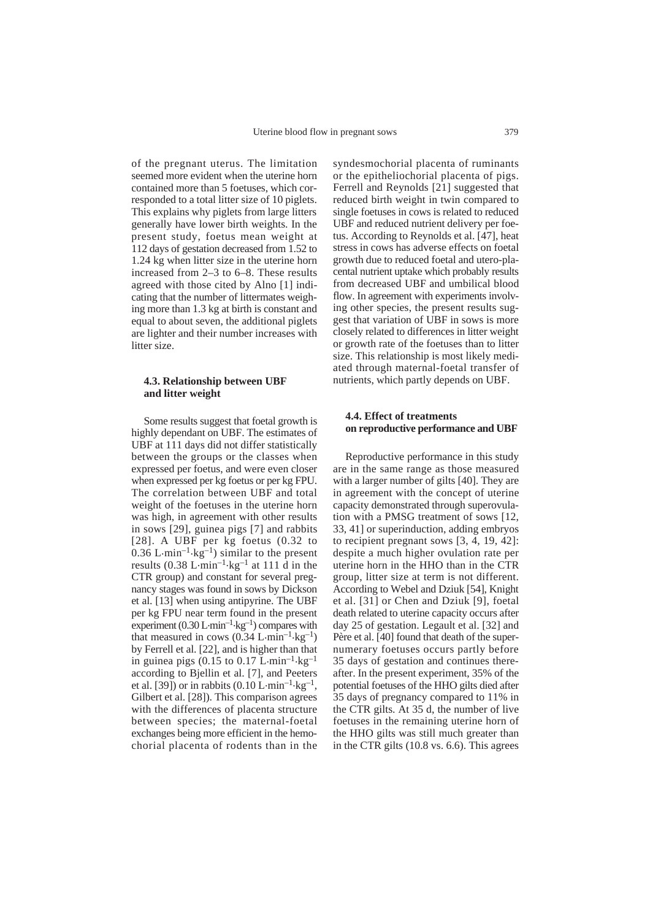of the pregnant uterus. The limitation seemed more evident when the uterine horn contained more than 5 foetuses, which corresponded to a total litter size of 10 piglets. This explains why piglets from large litters generally have lower birth weights. In the present study, foetus mean weight at 112 days of gestation decreased from 1.52 to 1.24 kg when litter size in the uterine horn increased from 2–3 to 6–8. These results agreed with those cited by Alno [1] indicating that the number of littermates weighing more than 1.3 kg at birth is constant and equal to about seven, the additional piglets are lighter and their number increases with litter size.

## **4.3. Relationship between UBF and litter weight**

Some results suggest that foetal growth is highly dependant on UBF. The estimates of UBF at 111 days did not differ statistically between the groups or the classes when expressed per foetus, and were even closer when expressed per kg foetus or per kg FPU. The correlation between UBF and total weight of the foetuses in the uterine horn was high, in agreement with other results in sows [29], guinea pigs [7] and rabbits [28]. A UBF per kg foetus (0.32 to 0.36 L $\cdot$ min<sup>-1</sup> $\cdot$ kg<sup>-1</sup>) similar to the present results (0.38 L $\cdot$ min<sup>-1</sup> $\cdot$ kg<sup>-1</sup> at 111 d in the CTR group) and constant for several pregnancy stages was found in sows by Dickson et al. [13] when using antipyrine. The UBF per kg FPU near term found in the present experiment  $(0.30 \mathrm{L} \cdot \mathrm{min}^{-1} \cdot \mathrm{kg}^{-1})$  compares with that measured in cows  $(0.34 \text{ L-min}^{-1} \text{ kg}^{-1})$ by Ferrell et al. [22], and is higher than that in guinea pigs (0.15 to 0.17  $\rm L\text{-}min^{-1}\text{-}kg^{-1}$ according to Bjellin et al. [7], and Peeters et al. [39]) or in rabbits (0.10 L $\cdot$ min<sup>-1</sup> $\cdot$ kg<sup>-1</sup>, Gilbert et al. [28]). This comparison agrees with the differences of placenta structure between species; the maternal-foetal exchanges being more efficient in the hemochorial placenta of rodents than in the

syndesmochorial placenta of ruminants or the epitheliochorial placenta of pigs. Ferrell and Reynolds [21] suggested that reduced birth weight in twin compared to single foetuses in cows is related to reduced UBF and reduced nutrient delivery per foetus. According to Reynolds et al. [47], heat stress in cows has adverse effects on foetal growth due to reduced foetal and utero-placental nutrient uptake which probably results from decreased UBF and umbilical blood flow. In agreement with experiments involving other species, the present results suggest that variation of UBF in sows is more closely related to differences in litter weight or growth rate of the foetuses than to litter size. This relationship is most likely mediated through maternal-foetal transfer of nutrients, which partly depends on UBF.

## **4.4. Effect of treatments on reproductive performance and UBF**

Reproductive performance in this study are in the same range as those measured with a larger number of gilts [40]. They are in agreement with the concept of uterine capacity demonstrated through superovulation with a PMSG treatment of sows [12, 33, 41] or superinduction, adding embryos to recipient pregnant sows [3, 4, 19, 42]: despite a much higher ovulation rate per uterine horn in the HHO than in the CTR group, litter size at term is not different. According to Webel and Dziuk [54], Knight et al. [31] or Chen and Dziuk [9], foetal death related to uterine capacity occurs after day 25 of gestation. Legault et al. [32] and Père et al. [40] found that death of the supernumerary foetuses occurs partly before 35 days of gestation and continues thereafter. In the present experiment, 35% of the potential foetuses of the HHO gilts died after 35 days of pregnancy compared to 11% in the CTR gilts. At 35 d, the number of live foetuses in the remaining uterine horn of the HHO gilts was still much greater than in the CTR gilts (10.8 vs. 6.6). This agrees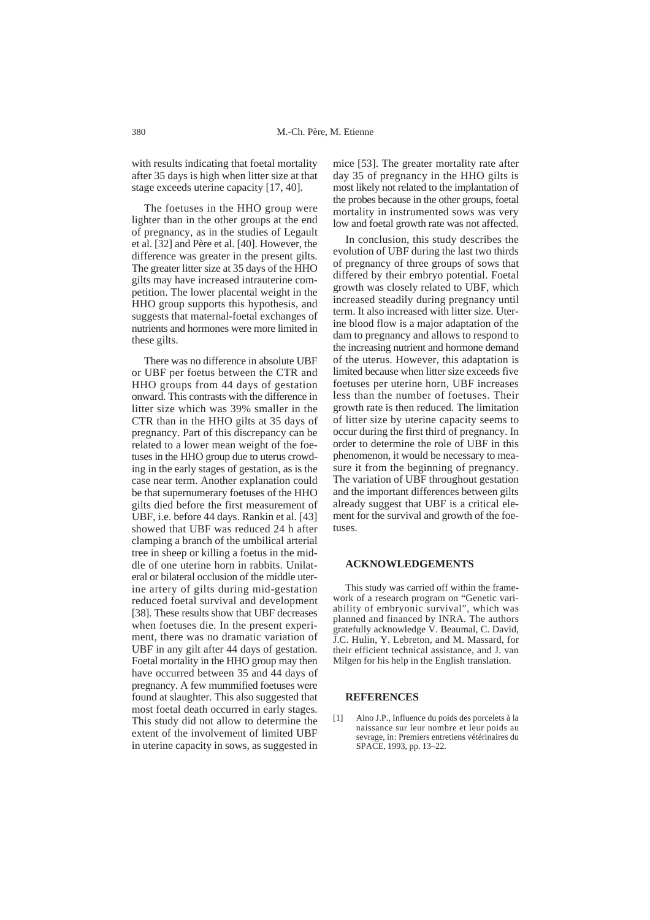with results indicating that foetal mortality after 35 days is high when litter size at that stage exceeds uterine capacity [17, 40].

The foetuses in the HHO group were lighter than in the other groups at the end of pregnancy, as in the studies of Legault et al. [32] and Père et al. [40]. However, the difference was greater in the present gilts. The greater litter size at 35 days of the HHO gilts may have increased intrauterine competition. The lower placental weight in the HHO group supports this hypothesis, and suggests that maternal-foetal exchanges of nutrients and hormones were more limited in these gilts.

There was no difference in absolute UBF or UBF per foetus between the CTR and HHO groups from 44 days of gestation onward. This contrasts with the difference in litter size which was 39% smaller in the CTR than in the HHO gilts at 35 days of pregnancy. Part of this discrepancy can be related to a lower mean weight of the foetuses in the HHO group due to uterus crowding in the early stages of gestation, as is the case near term. Another explanation could be that supernumerary foetuses of the HHO gilts died before the first measurement of UBF, i.e. before 44 days. Rankin et al. [43] showed that UBF was reduced 24 h after clamping a branch of the umbilical arterial tree in sheep or killing a foetus in the middle of one uterine horn in rabbits. Unilateral or bilateral occlusion of the middle uterine artery of gilts during mid-gestation reduced foetal survival and development [38]. These results show that UBF decreases when foetuses die. In the present experiment, there was no dramatic variation of UBF in any gilt after 44 days of gestation. Foetal mortality in the HHO group may then have occurred between 35 and 44 days of pregnancy. A few mummified foetuses were found at slaughter. This also suggested that most foetal death occurred in early stages. This study did not allow to determine the extent of the involvement of limited UBF in uterine capacity in sows, as suggested in

mice [53]. The greater mortality rate after day 35 of pregnancy in the HHO gilts is most likely not related to the implantation of the probes because in the other groups, foetal mortality in instrumented sows was very low and foetal growth rate was not affected.

In conclusion, this study describes the evolution of UBF during the last two thirds of pregnancy of three groups of sows that differed by their embryo potential. Foetal growth was closely related to UBF, which increased steadily during pregnancy until term. It also increased with litter size. Uterine blood flow is a major adaptation of the dam to pregnancy and allows to respond to the increasing nutrient and hormone demand of the uterus. However, this adaptation is limited because when litter size exceeds five foetuses per uterine horn, UBF increases less than the number of foetuses. Their growth rate is then reduced. The limitation of litter size by uterine capacity seems to occur during the first third of pregnancy. In order to determine the role of UBF in this phenomenon, it would be necessary to measure it from the beginning of pregnancy. The variation of UBF throughout gestation and the important differences between gilts already suggest that UBF is a critical element for the survival and growth of the foetuses.

#### **ACKNOWLEDGEMENTS**

This study was carried off within the framework of a research program on "Genetic variability of embryonic survival", which was planned and financed by INRA. The authors gratefully acknowledge V. Beaumal, C. David, J.C. Hulin, Y. Lebreton, and M. Massard, for their efficient technical assistance, and J. van Milgen for his help in the English translation.

#### **REFERENCES**

[1] Alno J.P., Influence du poids des porcelets à la naissance sur leur nombre et leur poids au sevrage, in: Premiers entretiens vétérinaires du SPACE, 1993, pp. 13–22.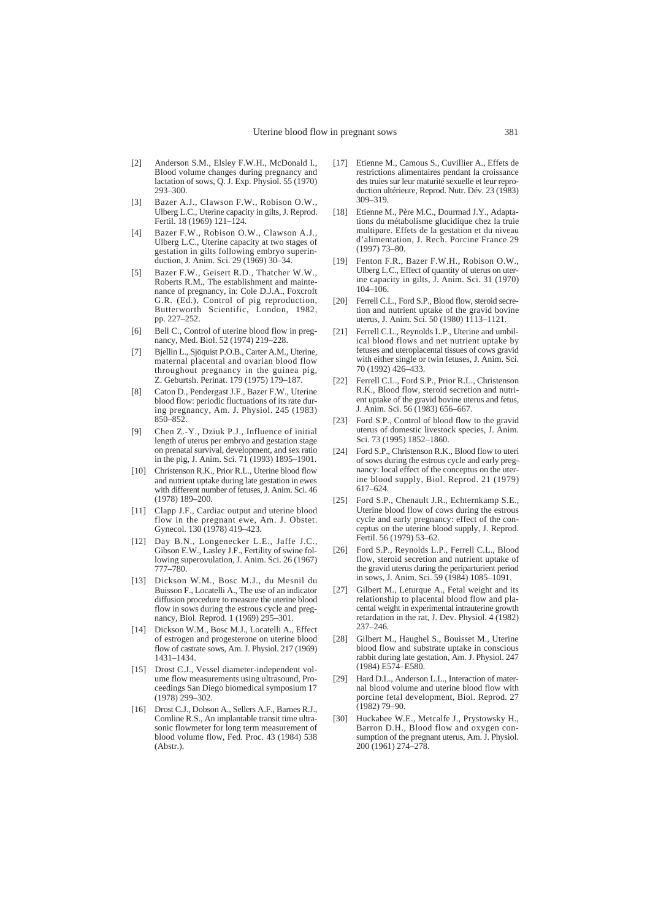- [2] Anderson S.M., Elsley F.W.H., McDonald I., Blood volume changes during pregnancy and lactation of sows, Q. J. Exp. Physiol. 55 (1970) 293–300.
- [3] Bazer A.J., Clawson F.W., Robison O.W., Ulberg L.C., Uterine capacity in gilts, J. Reprod. Fertil. 18 (1969) 121-124.
- [4] Bazer F.W., Robison O.W., Clawson A.J., Ulberg L.C., Uterine capacity at two stages of gestation in gilts following embryo superinduction, J. Anim. Sci. 29 (1969) 30–34.
- [5] Bazer F.W., Geisert R.D., Thatcher W.W., Roberts R.M., The establishment and maintenance of pregnancy, in: Cole D.J.A., Foxcroft G.R. (Ed.), Control of pig reproduction, Butterworth Scientific, London, 1982, pp. 227–252.
- [6] Bell C., Control of uterine blood flow in pregnancy, Med. Biol. 52 (1974) 219–228.
- [7] Bjellin L., Sjöquist P.O.B., Carter A.M., Uterine, maternal placental and ovarian blood flow throughout pregnancy in the guinea pig, Z. Geburtsh. Perinat. 179 (1975) 179–187.
- [8] Caton D., Pendergast J.F., Bazer F.W., Uterine blood flow: periodic fluctuations of its rate during pregnancy, Am. J. Physiol. 245 (1983) 850–852.
- [9] Chen Z.-Y., Dziuk P.J., Influence of initial length of uterus per embryo and gestation stage on prenatal survival, development, and sex ratio in the pig, J. Anim. Sci. 71 (1993) 1895–1901.
- [10] Christenson R.K., Prior R.L., Uterine blood flow and nutrient uptake during late gestation in ewes with different number of fetuses, J. Anim. Sci. 46 (1978) 189–200.
- [11] Clapp J.F., Cardiac output and uterine blood flow in the pregnant ewe, Am. J. Obstet. Gynecol. 130 (1978) 419–423.
- [12] Day B.N., Longenecker L.E., Jaffe J.C., Gibson E.W., Lasley J.F., Fertility of swine following superovulation, J. Anim. Sci. 26 (1967) 777–780.
- [13] Dickson W.M., Bosc M.J., du Mesnil du Buisson F., Locatelli A., The use of an indicator diffusion procedure to measure the uterine blood flow in sows during the estrous cycle and pregnancy, Biol. Reprod. 1 (1969) 295–301.
- [14] Dickson W.M., Bosc M.J., Locatelli A., Effect of estrogen and progesterone on uterine blood flow of castrate sows, Am. J. Physiol. 217 (1969) 1431–1434.
- [15] Drost C.J., Vessel diameter-independent volume flow measurements using ultrasound, Proceedings San Diego biomedical symposium 17 (1978) 299–302.
- [16] Drost C.J., Dobson A., Sellers A.F., Barnes R.J., Comline R.S., An implantable transit time ultrasonic flowmeter for long term measurement of blood volume flow, Fed. Proc. 43 (1984) 538 (Abstr.).
- [17] Etienne M., Camous S., Cuvillier A., Effets de restrictions alimentaires pendant la croissance des truies sur leur maturité sexuelle et leur reproduction ultérieure, Reprod. Nutr. Dév. 23 (1983) 309–319.
- [18] Etienne M., Père M.C., Dourmad J.Y., Adaptations du métabolisme glucidique chez la truie multipare. Effets de la gestation et du niveau d'alimentation, J. Rech. Porcine France 29 (1997) 73–80.
- [19] Fenton F.R., Bazer F.W.H., Robison O.W., Ulberg L.C., Effect of quantity of uterus on uterine capacity in gilts, J. Anim. Sci. 31 (1970) 104–106.
- [20] Ferrell C.L., Ford S.P., Blood flow, steroid secretion and nutrient uptake of the gravid bovine uterus, J. Anim. Sci. 50 (1980) 1113–1121.
- [21] Ferrell C.L., Reynolds L.P., Uterine and umbilical blood flows and net nutrient uptake by fetuses and uteroplacental tissues of cows gravid with either single or twin fetuses, J. Anim. Sci. 70 (1992) 426–433.
- [22] Ferrell C.L., Ford S.P., Prior R.L., Christenson R.K., Blood flow, steroid secretion and nutrient uptake of the gravid bovine uterus and fetus, J. Anim. Sci. 56 (1983) 656–667.
- [23] Ford S.P., Control of blood flow to the gravid uterus of domestic livestock species, J. Anim. Sci. 73 (1995) 1852–1860.
- [24] Ford S.P., Christenson R.K., Blood flow to uteri of sows during the estrous cycle and early pregnancy: local effect of the conceptus on the uterine blood supply, Biol. Reprod. 21 (1979) 617–624.
- [25] Ford S.P., Chenault J.R., Echternkamp S.E., Uterine blood flow of cows during the estrous cycle and early pregnancy: effect of the conceptus on the uterine blood supply, J. Reprod. Fertil. 56 (1979) 53–62.
- [26] Ford S.P., Reynolds L.P., Ferrell C.L., Blood flow, steroid secretion and nutrient uptake of the gravid uterus during the periparturient period in sows, J. Anim. Sci. 59 (1984) 1085–1091.
- [27] Gilbert M., Leturque A., Fetal weight and its relationship to placental blood flow and placental weight in experimental intrauterine growth retardation in the rat, J. Dev. Physiol. 4 (1982) 237–246.
- [28] Gilbert M., Haughel S., Bouisset M., Uterine blood flow and substrate uptake in conscious rabbit during late gestation, Am. J. Physiol. 247 (1984) E574–E580.
- [29] Hard D.L., Anderson L.L., Interaction of maternal blood volume and uterine blood flow with porcine fetal development, Biol. Reprod. 27 (1982) 79–90.
- [30] Huckabee W.E., Metcalfe J., Prystowsky H., Barron D.H., Blood flow and oxygen consumption of the pregnant uterus, Am. J. Physiol. 200 (1961) 274–278.